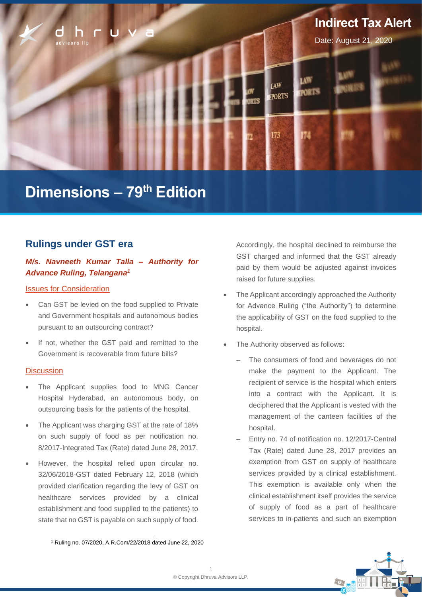

# **Dimensions – 79 th Edition**

# **Rulings under GST era**

# *M/s. Navneeth Kumar Talla – Authority for Advance Ruling, Telangana<sup>1</sup>*

## Issues for Consideration

- Can GST be levied on the food supplied to Private and Government hospitals and autonomous bodies pursuant to an outsourcing contract?
- If not, whether the GST paid and remitted to the Government is recoverable from future bills?

## **Discussion**

- The Applicant supplies food to MNG Cancer Hospital Hyderabad, an autonomous body, on outsourcing basis for the patients of the hospital.
- The Applicant was charging GST at the rate of 18% on such supply of food as per notification no. 8/2017-Integrated Tax (Rate) dated June 28, 2017.
- However, the hospital relied upon circular no. 32/06/2018-GST dated February 12, 2018 (which provided clarification regarding the levy of GST on healthcare services provided by a clinical establishment and food supplied to the patients) to state that no GST is payable on such supply of food.

Accordingly, the hospital declined to reimburse the GST charged and informed that the GST already paid by them would be adjusted against invoices raised for future supplies.

- The Applicant accordingly approached the Authority for Advance Ruling ("the Authority") to determine the applicability of GST on the food supplied to the hospital.
- The Authority observed as follows:
	- The consumers of food and beverages do not make the payment to the Applicant. The recipient of service is the hospital which enters into a contract with the Applicant. It is deciphered that the Applicant is vested with the management of the canteen facilities of the hospital.
	- ‒ Entry no. 74 of notification no. 12/2017-Central Tax (Rate) dated June 28, 2017 provides an exemption from GST on supply of healthcare services provided by a clinical establishment. This exemption is available only when the clinical establishment itself provides the service of supply of food as a part of healthcare services to in-patients and such an exemption



<sup>1</sup> Ruling no. 07/2020, A.R.Com/22/2018 dated June 22, 2020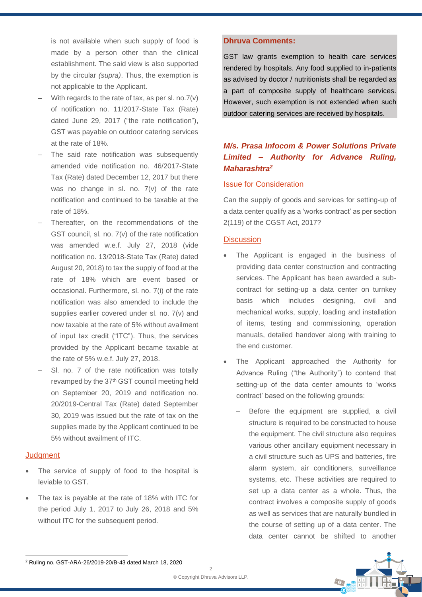is not available when such supply of food is made by a person other than the clinical establishment. The said view is also supported by the circular *(supra)*. Thus, the exemption is not applicable to the Applicant.

- With regards to the rate of tax, as per sl. no.7(v) of notification no. 11/2017-State Tax (Rate) dated June 29, 2017 ("the rate notification"), GST was payable on outdoor catering services at the rate of 18%.
- The said rate notification was subsequently amended vide notification no. 46/2017-State Tax (Rate) dated December 12, 2017 but there was no change in sl. no. 7(v) of the rate notification and continued to be taxable at the rate of 18%.
- ‒ Thereafter, on the recommendations of the GST council, sl. no. 7(v) of the rate notification was amended w.e.f. July 27, 2018 (vide notification no. 13/2018-State Tax (Rate) dated August 20, 2018) to tax the supply of food at the rate of 18% which are event based or occasional. Furthermore, sl. no. 7(i) of the rate notification was also amended to include the supplies earlier covered under sl. no. 7(v) and now taxable at the rate of 5% without availment of input tax credit ("ITC"). Thus, the services provided by the Applicant became taxable at the rate of 5% w.e.f. July 27, 2018.
- SI, no. 7 of the rate notification was totally revamped by the 37<sup>th</sup> GST council meeting held on September 20, 2019 and notification no. 20/2019-Central Tax (Rate) dated September 30, 2019 was issued but the rate of tax on the supplies made by the Applicant continued to be 5% without availment of ITC.

## **Judament**

- The service of supply of food to the hospital is leviable to GST.
- The tax is payable at the rate of 18% with ITC for the period July 1, 2017 to July 26, 2018 and 5% without ITC for the subsequent period.

# **Dhruva Comments:**

GST law grants exemption to health care services rendered by hospitals. Any food supplied to in-patients as advised by doctor / nutritionists shall be regarded as a part of composite supply of healthcare services. However, such exemption is not extended when such outdoor catering services are received by hospitals.

# *M/s. Prasa Infocom & Power Solutions Private Limited – Authority for Advance Ruling, Maharashtra<sup>2</sup>*

# Issue for Consideration

Can the supply of goods and services for setting-up of a data center qualify as a 'works contract' as per section 2(119) of the CGST Act, 2017?

### **Discussion**

- The Applicant is engaged in the business of providing data center construction and contracting services. The Applicant has been awarded a subcontract for setting-up a data center on turnkey basis which includes designing, civil and mechanical works, supply, loading and installation of items, testing and commissioning, operation manuals, detailed handover along with training to the end customer.
- The Applicant approached the Authority for Advance Ruling ("the Authority") to contend that setting-up of the data center amounts to 'works contract' based on the following grounds:
	- Before the equipment are supplied, a civil structure is required to be constructed to house the equipment. The civil structure also requires various other ancillary equipment necessary in a civil structure such as UPS and batteries, fire alarm system, air conditioners, surveillance systems, etc. These activities are required to set up a data center as a whole. Thus, the contract involves a composite supply of goods as well as services that are naturally bundled in the course of setting up of a data center. The data center cannot be shifted to another



<sup>2</sup> Ruling no. GST-ARA-26/2019-20/B-43 dated March 18, 2020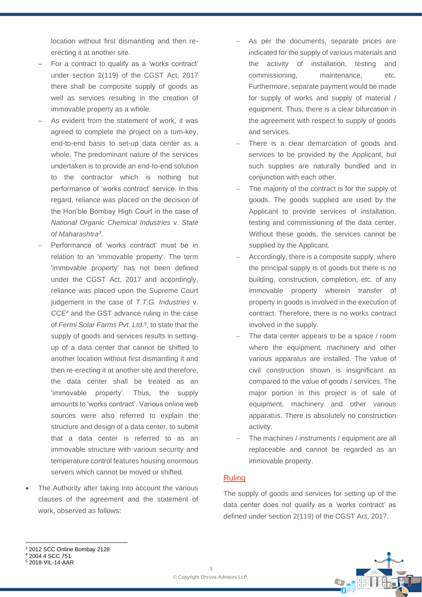location without first dismantling and then reerecting it at another site.

- ‒ For a contract to qualify as a 'works contract' under section 2(119) of the CGST Act, 2017 there shall be composite supply of goods as well as services resulting in the creation of immovable property as a whole.
- As evident from the statement of work, it was agreed to complete the project on a turn-key, end-to-end basis to set-up data center as a whole. The predominant nature of the services undertaken is to provide an end-to-end solution to the contractor which is nothing but performance of 'works contract' service. In this regard, reliance was placed on the decision of the Hon'ble Bombay High Court in the case of *National Organic Chemical Industries* v. *State of Maharashtra<sup>3</sup>* .
- − Performance of 'works contract' must be in relation to an 'immovable property'. The term 'immovable property' has not been defined under the CGST Act, 2017 and accordingly, reliance was placed upon the Supreme Court judgement in the case of *T.T.G. Industries* v. *CCE<sup>4</sup>* and the GST advance ruling in the case of *Fermi Solar Farms Pvt. Ltd.<sup>5</sup>* , to state that the supply of goods and services results in settingup of a data center that cannot be shifted to another location without first dismantling it and then re-erecting it at another site and therefore, the data center shall be treated as an 'immovable property'. Thus, the supply amounts to 'works contract'. Various online web sources were also referred to explain the structure and design of a data center, to submit that a data center is referred to as an immovable structure with various security and temperature control features housing enormous servers which cannot be moved or shifted.
- The Authority after taking into account the various clauses of the agreement and the statement of work, observed as follows:
- As per the documents, separate prices are indicated for the supply of various materials and the activity of installation, testing and commissioning, maintenance, etc. Furthermore, separate payment would be made for supply of works and supply of material / equipment. Thus, there is a clear bifurcation in the agreement with respect to supply of goods and services.
- There is a clear demarcation of goods and services to be provided by the Applicant, but such supplies are naturally bundled and in conjunction with each other.
- The majority of the contract is for the supply of goods. The goods supplied are used by the Applicant to provide services of installation, testing and commissioning of the data center. Without these goods, the services cannot be supplied by the Applicant.
- Accordingly, there is a composite supply, where the principal supply is of goods but there is no building, construction, completion, etc. of any immovable property wherein transfer of property in goods is involved in the execution of contract. Therefore, there is no works contract involved in the supply.
- The data center appears to be a space / room where the equipment, machinery and other various apparatus are installed. The value of civil construction shown is insignificant as compared to the value of goods / services. The major portion in this project is of sale of equipment, machinery and other various apparatus. There is absolutely no construction activity.
- The machines / instruments / equipment are all replaceable and cannot be regarded as an immovable property.

### Ruling

The supply of goods and services for setting up of the data center does not qualify as a 'works contract' as defined under section 2(119) of the CGST Act, 2017.



# <sup>4</sup> 2004 4 SCC 751



<sup>5</sup> 2018-VIL-14-AAR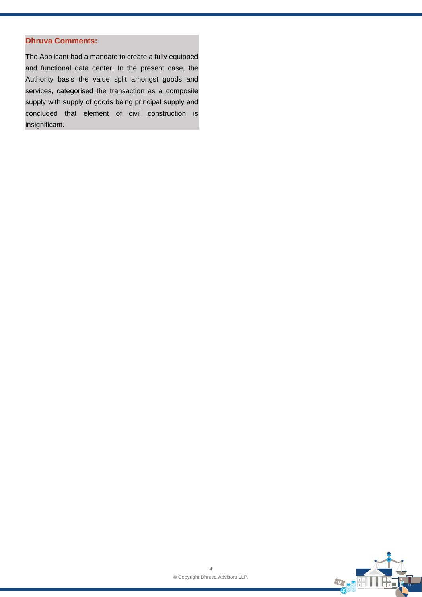# **Dhruva Comments:**

The Applicant had a mandate to create a fully equipped and functional data center. In the present case, the Authority basis the value split amongst goods and services, categorised the transaction as a composite supply with supply of goods being principal supply and concluded that element of civil construction is insignificant.